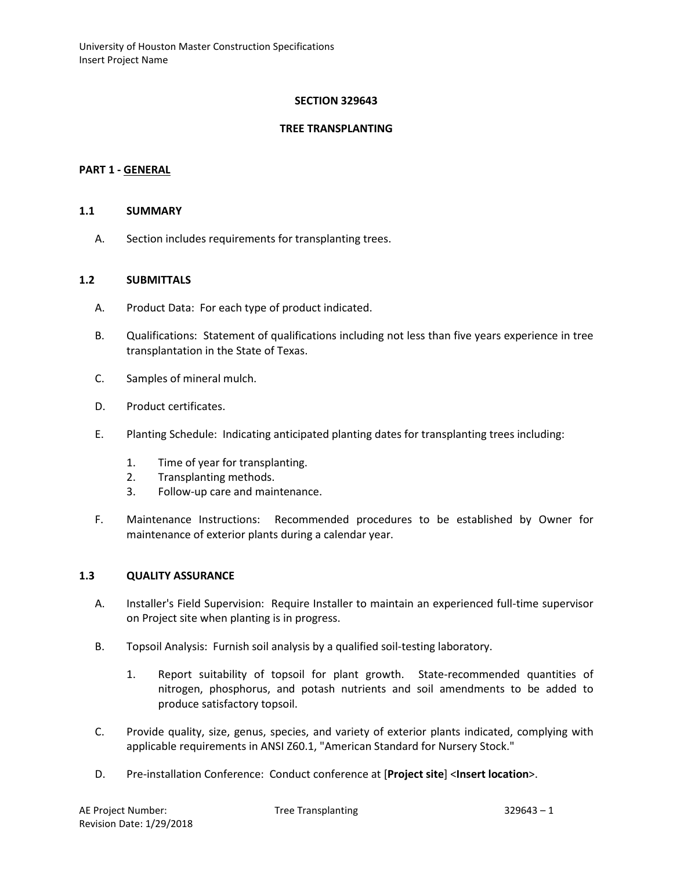#### **SECTION 329643**

#### **TREE TRANSPLANTING**

#### **PART 1 - GENERAL**

#### **1.1 SUMMARY**

A. Section includes requirements for transplanting trees.

#### **1.2 SUBMITTALS**

- A. Product Data: For each type of product indicated.
- B. Qualifications: Statement of qualifications including not less than five years experience in tree transplantation in the State of Texas.
- C. Samples of mineral mulch.
- D. Product certificates.
- E. Planting Schedule: Indicating anticipated planting dates for transplanting trees including:
	- 1. Time of year for transplanting.
	- 2. Transplanting methods.
	- 3. Follow-up care and maintenance.
- F. Maintenance Instructions: Recommended procedures to be established by Owner for maintenance of exterior plants during a calendar year.

#### **1.3 QUALITY ASSURANCE**

- A. Installer's Field Supervision: Require Installer to maintain an experienced full-time supervisor on Project site when planting is in progress.
- B. Topsoil Analysis: Furnish soil analysis by a qualified soil-testing laboratory.
	- 1. Report suitability of topsoil for plant growth. State-recommended quantities of nitrogen, phosphorus, and potash nutrients and soil amendments to be added to produce satisfactory topsoil.
- C. Provide quality, size, genus, species, and variety of exterior plants indicated, complying with applicable requirements in ANSI Z60.1, "American Standard for Nursery Stock."
- D. Pre-installation Conference: Conduct conference at [**Project site**] <**Insert location**>.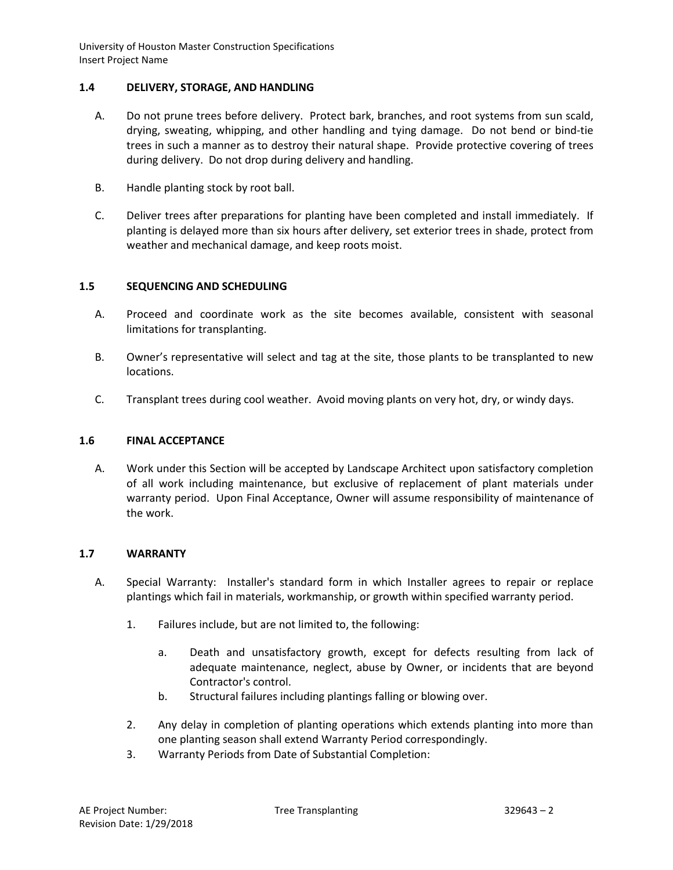## **1.4 DELIVERY, STORAGE, AND HANDLING**

- A. Do not prune trees before delivery. Protect bark, branches, and root systems from sun scald, drying, sweating, whipping, and other handling and tying damage. Do not bend or bind-tie trees in such a manner as to destroy their natural shape. Provide protective covering of trees during delivery. Do not drop during delivery and handling.
- B. Handle planting stock by root ball.
- C. Deliver trees after preparations for planting have been completed and install immediately. If planting is delayed more than six hours after delivery, set exterior trees in shade, protect from weather and mechanical damage, and keep roots moist.

## **1.5 SEQUENCING AND SCHEDULING**

- A. Proceed and coordinate work as the site becomes available, consistent with seasonal limitations for transplanting.
- B. Owner's representative will select and tag at the site, those plants to be transplanted to new locations.
- C. Transplant trees during cool weather. Avoid moving plants on very hot, dry, or windy days.

## **1.6 FINAL ACCEPTANCE**

A. Work under this Section will be accepted by Landscape Architect upon satisfactory completion of all work including maintenance, but exclusive of replacement of plant materials under warranty period. Upon Final Acceptance, Owner will assume responsibility of maintenance of the work.

# **1.7 WARRANTY**

- A. Special Warranty: Installer's standard form in which Installer agrees to repair or replace plantings which fail in materials, workmanship, or growth within specified warranty period.
	- 1. Failures include, but are not limited to, the following:
		- a. Death and unsatisfactory growth, except for defects resulting from lack of adequate maintenance, neglect, abuse by Owner, or incidents that are beyond Contractor's control.
		- b. Structural failures including plantings falling or blowing over.
	- 2. Any delay in completion of planting operations which extends planting into more than one planting season shall extend Warranty Period correspondingly.
	- 3. Warranty Periods from Date of Substantial Completion: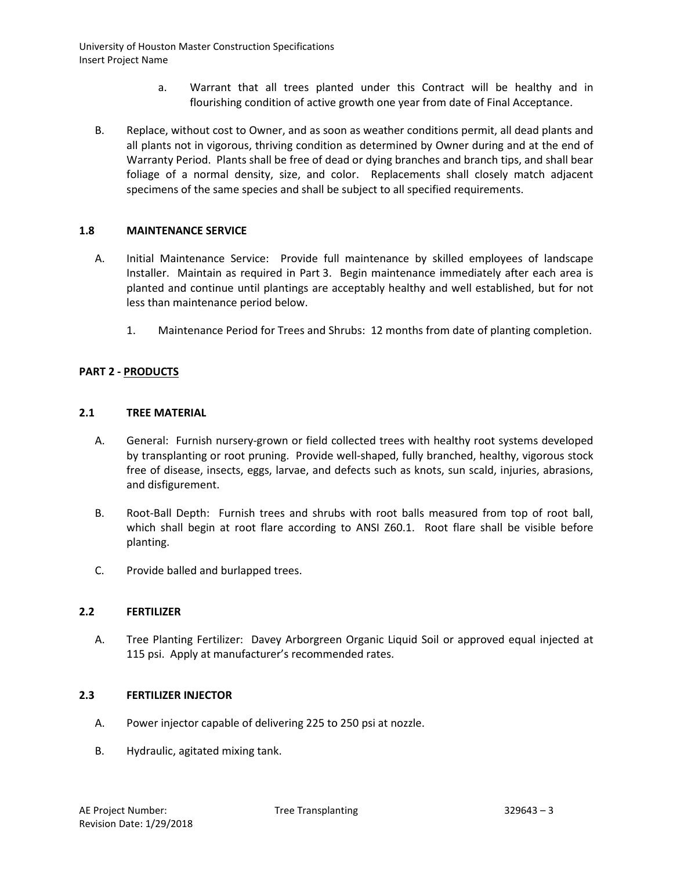- a. Warrant that all trees planted under this Contract will be healthy and in flourishing condition of active growth one year from date of Final Acceptance.
- B. Replace, without cost to Owner, and as soon as weather conditions permit, all dead plants and all plants not in vigorous, thriving condition as determined by Owner during and at the end of Warranty Period. Plants shall be free of dead or dying branches and branch tips, and shall bear foliage of a normal density, size, and color. Replacements shall closely match adjacent specimens of the same species and shall be subject to all specified requirements.

## **1.8 MAINTENANCE SERVICE**

- A. Initial Maintenance Service: Provide full maintenance by skilled employees of landscape Installer. Maintain as required in Part 3. Begin maintenance immediately after each area is planted and continue until plantings are acceptably healthy and well established, but for not less than maintenance period below.
	- 1. Maintenance Period for Trees and Shrubs: 12 months from date of planting completion.

#### **PART 2 - PRODUCTS**

#### **2.1 TREE MATERIAL**

- A. General: Furnish nursery-grown or field collected trees with healthy root systems developed by transplanting or root pruning. Provide well-shaped, fully branched, healthy, vigorous stock free of disease, insects, eggs, larvae, and defects such as knots, sun scald, injuries, abrasions, and disfigurement.
- B. Root-Ball Depth: Furnish trees and shrubs with root balls measured from top of root ball, which shall begin at root flare according to ANSI Z60.1. Root flare shall be visible before planting.
- C. Provide balled and burlapped trees.

#### **2.2 FERTILIZER**

A. Tree Planting Fertilizer: Davey Arborgreen Organic Liquid Soil or approved equal injected at 115 psi. Apply at manufacturer's recommended rates.

### **2.3 FERTILIZER INJECTOR**

- A. Power injector capable of delivering 225 to 250 psi at nozzle.
- B. Hydraulic, agitated mixing tank.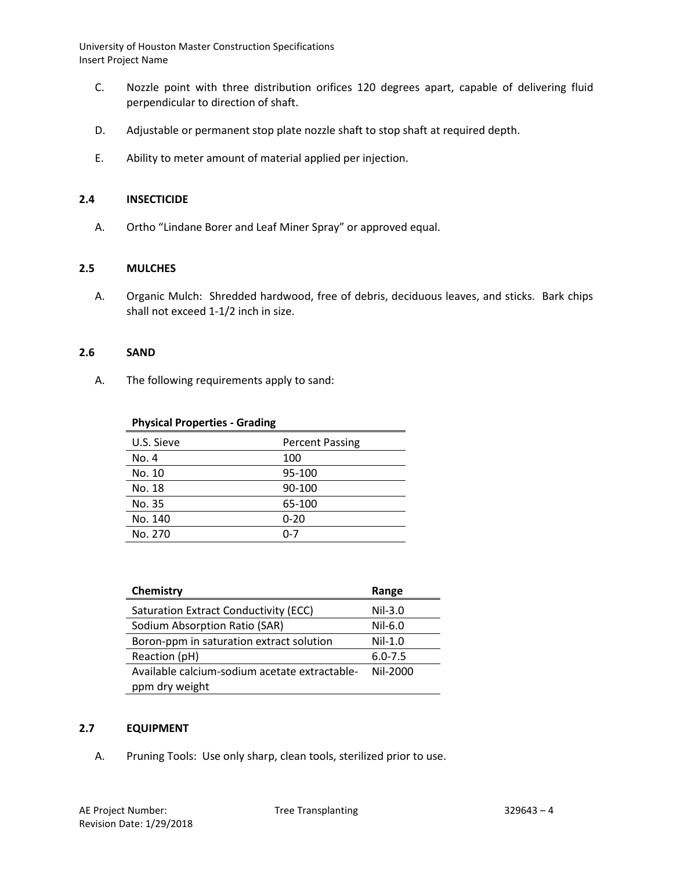- C. Nozzle point with three distribution orifices 120 degrees apart, capable of delivering fluid perpendicular to direction of shaft.
- D. Adjustable or permanent stop plate nozzle shaft to stop shaft at required depth.
- E. Ability to meter amount of material applied per injection.

#### **2.4 INSECTICIDE**

A. Ortho "Lindane Borer and Leaf Miner Spray" or approved equal.

#### **2.5 MULCHES**

A. Organic Mulch: Shredded hardwood, free of debris, deciduous leaves, and sticks. Bark chips shall not exceed 1-1/2 inch in size.

#### **2.6 SAND**

A. The following requirements apply to sand:

### **Physical Properties - Grading**

| U.S. Sieve | <b>Percent Passing</b> |  |
|------------|------------------------|--|
| No. 4      | 100                    |  |
| No. 10     | 95-100                 |  |
| No. 18     | 90-100                 |  |
| No. 35     | 65-100                 |  |
| No. 140    | $0 - 20$               |  |
| No. 270    | በ-7                    |  |

| Chemistry                                     | Range       |
|-----------------------------------------------|-------------|
| Saturation Extract Conductivity (ECC)         | $Nil-3.0$   |
| Sodium Absorption Ratio (SAR)                 | $Nil-6.0$   |
| Boron-ppm in saturation extract solution      | $Nil-1.0$   |
| Reaction (pH)                                 | $6.0 - 7.5$ |
| Available calcium-sodium acetate extractable- | Nil-2000    |
| ppm dry weight                                |             |

## **2.7 EQUIPMENT**

A. Pruning Tools: Use only sharp, clean tools, sterilized prior to use.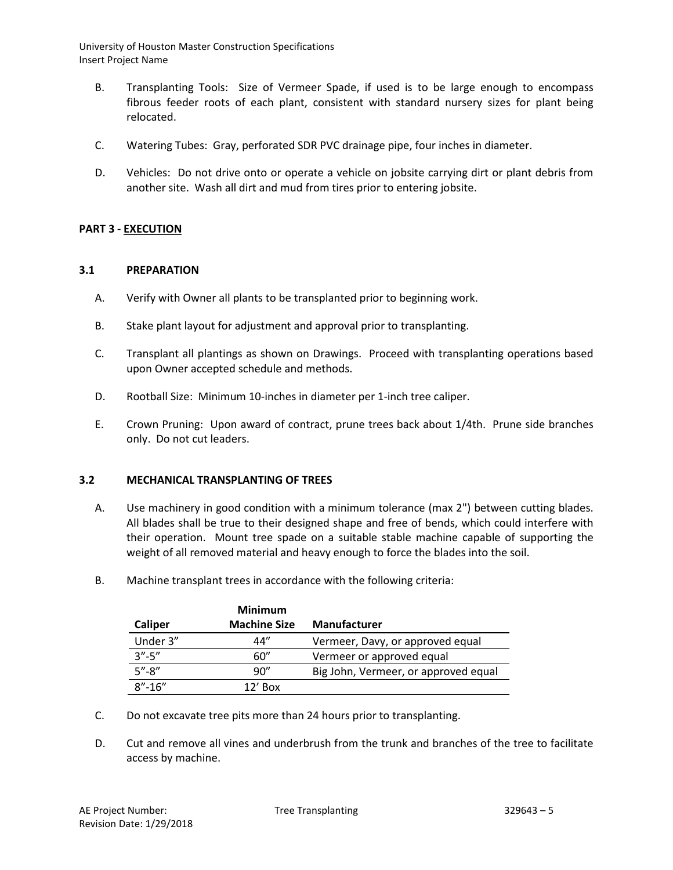- B. Transplanting Tools: Size of Vermeer Spade, if used is to be large enough to encompass fibrous feeder roots of each plant, consistent with standard nursery sizes for plant being relocated.
- C. Watering Tubes: Gray, perforated SDR PVC drainage pipe, four inches in diameter.
- D. Vehicles: Do not drive onto or operate a vehicle on jobsite carrying dirt or plant debris from another site. Wash all dirt and mud from tires prior to entering jobsite.

## **PART 3 - EXECUTION**

#### **3.1 PREPARATION**

- A. Verify with Owner all plants to be transplanted prior to beginning work.
- B. Stake plant layout for adjustment and approval prior to transplanting.
- C. Transplant all plantings as shown on Drawings. Proceed with transplanting operations based upon Owner accepted schedule and methods.
- D. Rootball Size: Minimum 10-inches in diameter per 1-inch tree caliper.
- E. Crown Pruning: Upon award of contract, prune trees back about 1/4th. Prune side branches only. Do not cut leaders.

#### **3.2 MECHANICAL TRANSPLANTING OF TREES**

- A. Use machinery in good condition with a minimum tolerance (max 2") between cutting blades. All blades shall be true to their designed shape and free of bends, which could interfere with their operation. Mount tree spade on a suitable stable machine capable of supporting the weight of all removed material and heavy enough to force the blades into the soil.
- B. Machine transplant trees in accordance with the following criteria:

|              | <b>Minimum</b>      |                                      |
|--------------|---------------------|--------------------------------------|
| Caliper      | <b>Machine Size</b> | <b>Manufacturer</b>                  |
| Under 3"     | 44"                 | Vermeer, Davy, or approved equal     |
| $3'' - 5''$  | 60"                 | Vermeer or approved equal            |
| $5'' - 8''$  | 90"                 | Big John, Vermeer, or approved equal |
| $8'' - 16''$ | $12'$ Box           |                                      |

- C. Do not excavate tree pits more than 24 hours prior to transplanting.
- D. Cut and remove all vines and underbrush from the trunk and branches of the tree to facilitate access by machine.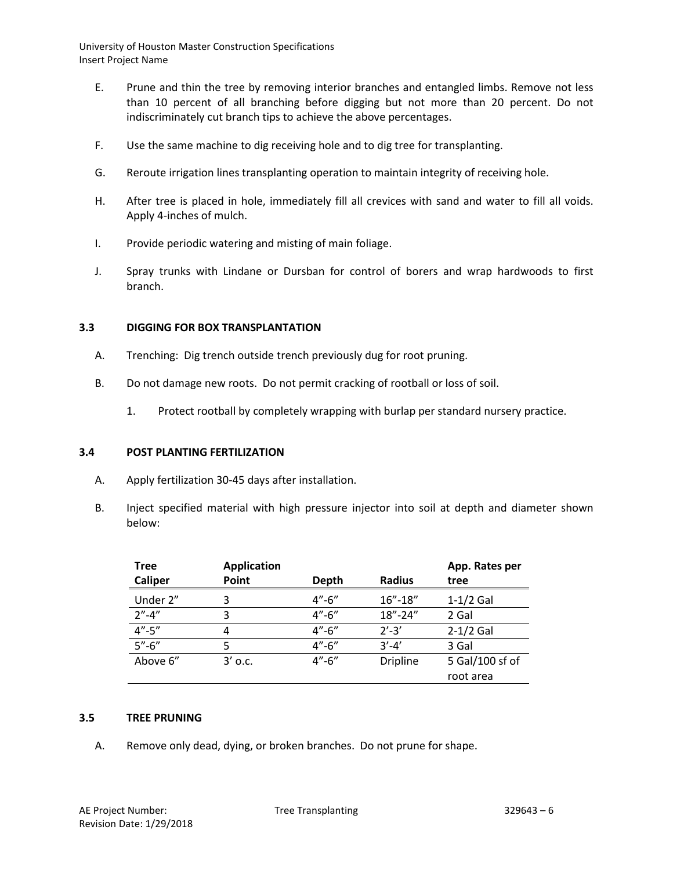- E. Prune and thin the tree by removing interior branches and entangled limbs. Remove not less than 10 percent of all branching before digging but not more than 20 percent. Do not indiscriminately cut branch tips to achieve the above percentages.
- F. Use the same machine to dig receiving hole and to dig tree for transplanting.
- G. Reroute irrigation lines transplanting operation to maintain integrity of receiving hole.
- H. After tree is placed in hole, immediately fill all crevices with sand and water to fill all voids. Apply 4-inches of mulch.
- I. Provide periodic watering and misting of main foliage.
- J. Spray trunks with Lindane or Dursban for control of borers and wrap hardwoods to first branch.

## **3.3 DIGGING FOR BOX TRANSPLANTATION**

- A. Trenching: Dig trench outside trench previously dug for root pruning.
- B. Do not damage new roots. Do not permit cracking of rootball or loss of soil.
	- 1. Protect rootball by completely wrapping with burlap per standard nursery practice.

## **3.4 POST PLANTING FERTILIZATION**

- A. Apply fertilization 30-45 days after installation.
- B. Inject specified material with high pressure injector into soil at depth and diameter shown below:

| Tree           | <b>Application</b> |             |                 | App. Rates per  |
|----------------|--------------------|-------------|-----------------|-----------------|
| <b>Caliper</b> | Point              | Depth       | <b>Radius</b>   | tree            |
| Under 2"       | 3                  | $4 - 6$     | $16'' - 18''$   | $1-1/2$ Gal     |
| $2'' - 4''$    | 3                  | $4'' - 6''$ | $18'' - 24''$   | 2 Gal           |
| $4'' - 5''$    | 4                  | $4'' - 6''$ | $2' - 3'$       | $2-1/2$ Gal     |
| $5'' - 6''$    | 5                  | $4 - 6$     | $3' - 4'$       | 3 Gal           |
| Above 6"       | $3'$ o.c.          | $4'' - 6''$ | <b>Dripline</b> | 5 Gal/100 sf of |
|                |                    |             |                 | root area       |

#### **3.5 TREE PRUNING**

A. Remove only dead, dying, or broken branches. Do not prune for shape.